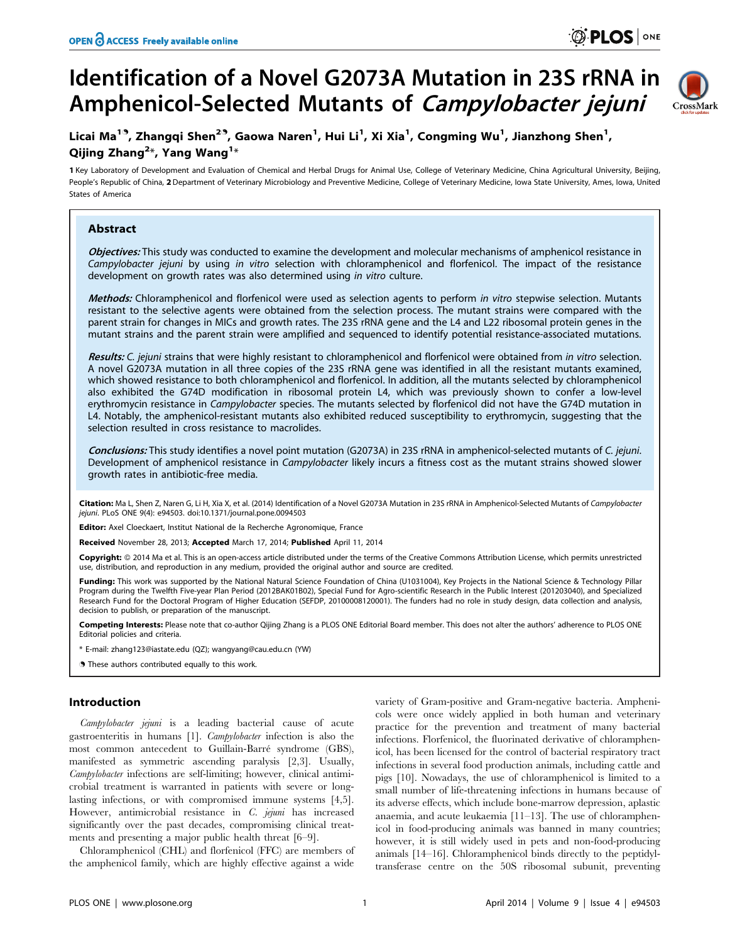# Identification of a Novel G2073A Mutation in 23S rRNA in Amphenicol-Selected Mutants of Campylobacter jejuni



# Licai Ma<sup>19</sup>, Zhangqi Shen<sup>29</sup>, Gaowa Naren<sup>1</sup>, Hui Li<sup>1</sup>, Xi Xia<sup>1</sup>, Congming Wu<sup>1</sup>, Jianzhong Shen<sup>1</sup>, Qijing Zhang $^{2\ast}$ , Yang Wang $^{1\ast}$

1 Key Laboratory of Development and Evaluation of Chemical and Herbal Drugs for Animal Use, College of Veterinary Medicine, China Agricultural University, Beijing, People's Republic of China, 2 Department of Veterinary Microbiology and Preventive Medicine, College of Veterinary Medicine, Iowa State University, Ames, Iowa, United States of America

# Abstract

Objectives: This study was conducted to examine the development and molecular mechanisms of amphenicol resistance in Campylobacter jejuni by using in vitro selection with chloramphenicol and florfenicol. The impact of the resistance development on growth rates was also determined using in vitro culture.

Methods: Chloramphenicol and florfenicol were used as selection agents to perform in vitro stepwise selection. Mutants resistant to the selective agents were obtained from the selection process. The mutant strains were compared with the parent strain for changes in MICs and growth rates. The 23S rRNA gene and the L4 and L22 ribosomal protein genes in the mutant strains and the parent strain were amplified and sequenced to identify potential resistance-associated mutations.

Results: C. jejuni strains that were highly resistant to chloramphenicol and florfenicol were obtained from in vitro selection. A novel G2073A mutation in all three copies of the 23S rRNA gene was identified in all the resistant mutants examined, which showed resistance to both chloramphenicol and florfenicol. In addition, all the mutants selected by chloramphenicol also exhibited the G74D modification in ribosomal protein L4, which was previously shown to confer a low-level erythromycin resistance in Campylobacter species. The mutants selected by florfenicol did not have the G74D mutation in L4. Notably, the amphenicol-resistant mutants also exhibited reduced susceptibility to erythromycin, suggesting that the selection resulted in cross resistance to macrolides.

Conclusions: This study identifies a novel point mutation (G2073A) in 23S rRNA in amphenicol-selected mutants of C. jejuni. Development of amphenicol resistance in Campylobacter likely incurs a fitness cost as the mutant strains showed slower growth rates in antibiotic-free media.

Citation: Ma L, Shen Z, Naren G, Li H, Xia X, et al. (2014) Identification of a Novel G2073A Mutation in 23S rRNA in Amphenicol-Selected Mutants of Campylobacter jejuni. PLoS ONE 9(4): e94503. doi:10.1371/journal.pone.0094503

Editor: Axel Cloeckaert, Institut National de la Recherche Agronomique, France

Received November 28, 2013; Accepted March 17, 2014; Published April 11, 2014

Copyright: © 2014 Ma et al. This is an open-access article distributed under the terms of the [Creative Commons Attribution License,](http://creativecommons.org/licenses/by/4.0/) which permits unrestricted use, distribution, and reproduction in any medium, provided the original author and source are credited.

Funding: This work was supported by the National Natural Science Foundation of China (U1031004), Key Projects in the National Science & Technology Pillar Program during the Twelfth Five-year Plan Period (2012BAK01B02), Special Fund for Agro-scientific Research in the Public Interest (201203040), and Specialized Research Fund for the Doctoral Program of Higher Education (SEFDP, 20100008120001). The funders had no role in study design, data collection and analysis, decision to publish, or preparation of the manuscript.

Competing Interests: Please note that co-author Qijing Zhang is a PLOS ONE Editorial Board member. This does not alter the authors' adherence to PLOS ONE Editorial policies and criteria.

\* E-mail: zhang123@iastate.edu (QZ); wangyang@cau.edu.cn (YW)

. These authors contributed equally to this work.

# Introduction

Campylobacter jejuni is a leading bacterial cause of acute gastroenteritis in humans [1]. Campylobacter infection is also the most common antecedent to Guillain-Barre´ syndrome (GBS), manifested as symmetric ascending paralysis [2,3]. Usually, Campylobacter infections are self-limiting; however, clinical antimicrobial treatment is warranted in patients with severe or longlasting infections, or with compromised immune systems [4,5]. However, antimicrobial resistance in C. jejuni has increased significantly over the past decades, compromising clinical treatments and presenting a major public health threat [6–9].

Chloramphenicol (CHL) and florfenicol (FFC) are members of the amphenicol family, which are highly effective against a wide

variety of Gram-positive and Gram-negative bacteria. Amphenicols were once widely applied in both human and veterinary practice for the prevention and treatment of many bacterial infections. Florfenicol, the fluorinated derivative of chloramphenicol, has been licensed for the control of bacterial respiratory tract infections in several food production animals, including cattle and pigs [10]. Nowadays, the use of chloramphenicol is limited to a small number of life-threatening infections in humans because of its adverse effects, which include bone-marrow depression, aplastic anaemia, and acute leukaemia [11–13]. The use of chloramphenicol in food-producing animals was banned in many countries; however, it is still widely used in pets and non-food-producing animals [14–16]. Chloramphenicol binds directly to the peptidyltransferase centre on the 50S ribosomal subunit, preventing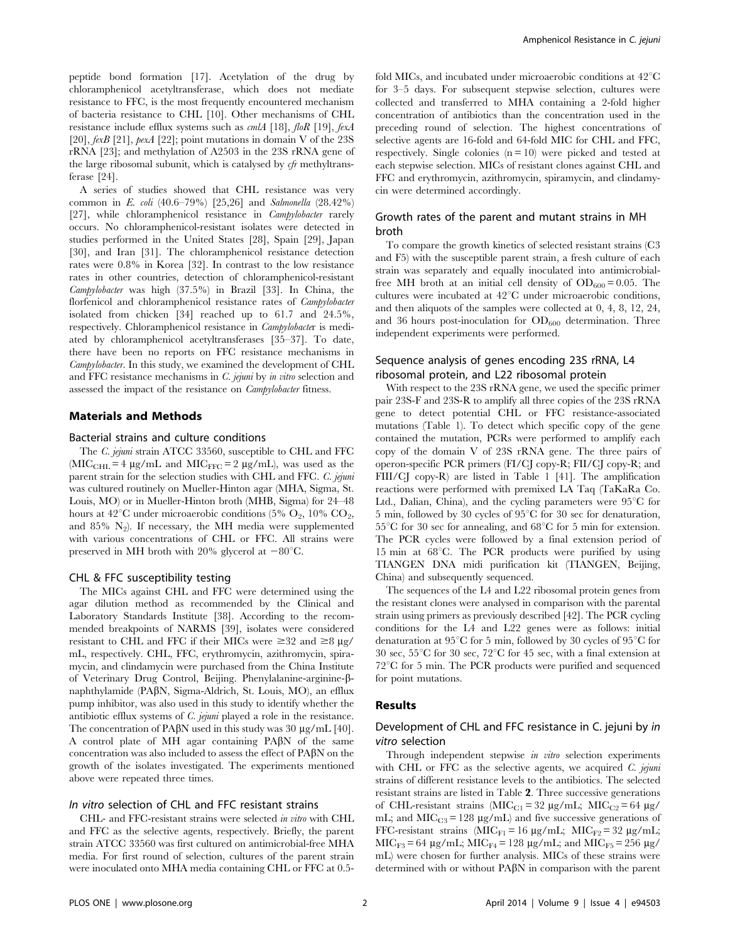peptide bond formation [17]. Acetylation of the drug by chloramphenicol acetyltransferase, which does not mediate resistance to FFC, is the most frequently encountered mechanism of bacteria resistance to CHL [10]. Other mechanisms of CHL resistance include efflux systems such as  $cm/A$  [18],  $floR$  [19],  $fexA$ [20],  $fexB$  [21],  $pexA$  [22]; point mutations in domain V of the 23S rRNA [23]; and methylation of A2503 in the 23S rRNA gene of the large ribosomal subunit, which is catalysed by cfr methyltransferase [24].

A series of studies showed that CHL resistance was very common in E. coli (40.6–79%) [25,26] and Salmonella (28.42%) [27], while chloramphenicol resistance in Campylobacter rarely occurs. No chloramphenicol-resistant isolates were detected in studies performed in the United States [28], Spain [29], Japan [30], and Iran [31]. The chloramphenicol resistance detection rates were 0.8% in Korea [32]. In contrast to the low resistance rates in other countries, detection of chloramphenicol-resistant Campylobacter was high (37.5%) in Brazil [33]. In China, the florfenicol and chloramphenicol resistance rates of Campylobacter isolated from chicken [34] reached up to 61.7 and 24.5%, respectively. Chloramphenicol resistance in Campylobacter is mediated by chloramphenicol acetyltransferases [35–37]. To date, there have been no reports on FFC resistance mechanisms in Campylobacter. In this study, we examined the development of CHL and FFC resistance mechanisms in C. jejuni by in vitro selection and assessed the impact of the resistance on Campylobacter fitness.

## Materials and Methods

## Bacterial strains and culture conditions

The C. jejuni strain ATCC 33560, susceptible to CHL and FFC (MIC<sub>CHL</sub> = 4  $\mu$ g/mL and MIC<sub>FFC</sub> = 2  $\mu$ g/mL), was used as the parent strain for the selection studies with CHL and FFC. C. jejuni was cultured routinely on Mueller-Hinton agar (MHA, Sigma, St. Louis, MO) or in Mueller-Hinton broth (MHB, Sigma) for 24–48 hours at 42<sup>°</sup>C under microaerobic conditions (5%  $O_2$ , 10%  $CO_2$ , and  $85\%$  N<sub>2</sub>). If necessary, the MH media were supplemented with various concentrations of CHL or FFC. All strains were preserved in MH broth with 20% glycerol at  $-80^{\circ}$ C.

#### CHL & FFC susceptibility testing

The MICs against CHL and FFC were determined using the agar dilution method as recommended by the Clinical and Laboratory Standards Institute [38]. According to the recommended breakpoints of NARMS [39], isolates were considered resistant to CHL and FFC if their MICs were  $\geq 32$  and  $\geq 8 \mu$ g/ mL, respectively. CHL, FFC, erythromycin, azithromycin, spiramycin, and clindamycin were purchased from the China Institute of Veterinary Drug Control, Beijing. Phenylalanine-arginine-bnaphthylamide (PAbN, Sigma-Aldrich, St. Louis, MO), an efflux pump inhibitor, was also used in this study to identify whether the antibiotic efflux systems of *C. jejuni* played a role in the resistance. The concentration of PA $\beta$ N used in this study was 30 µg/mL [40]. A control plate of MH agar containing  $PA\beta N$  of the same concentration was also included to assess the effect of  $P\{A\}\$ N on the growth of the isolates investigated. The experiments mentioned above were repeated three times.

# In vitro selection of CHL and FFC resistant strains

CHL- and FFC-resistant strains were selected in vitro with CHL and FFC as the selective agents, respectively. Briefly, the parent strain ATCC 33560 was first cultured on antimicrobial-free MHA media. For first round of selection, cultures of the parent strain were inoculated onto MHA media containing CHL or FFC at 0.5fold MICs, and incubated under microaerobic conditions at  $42^{\circ}$ C for 3–5 days. For subsequent stepwise selection, cultures were collected and transferred to MHA containing a 2-fold higher concentration of antibiotics than the concentration used in the preceding round of selection. The highest concentrations of selective agents are 16-fold and 64-fold MIC for CHL and FFC, respectively. Single colonies  $(n = 10)$  were picked and tested at each stepwise selection. MICs of resistant clones against CHL and FFC and erythromycin, azithromycin, spiramycin, and clindamycin were determined accordingly.

# Growth rates of the parent and mutant strains in MH broth

To compare the growth kinetics of selected resistant strains (C3 and F5) with the susceptible parent strain, a fresh culture of each strain was separately and equally inoculated into antimicrobialfree MH broth at an initial cell density of  $OD_{600} = 0.05$ . The cultures were incubated at  $42^{\circ}$ C under microaerobic conditions, and then aliquots of the samples were collected at 0, 4, 8, 12, 24, and 36 hours post-inoculation for  $OD_{600}$  determination. Three independent experiments were performed.

# Sequence analysis of genes encoding 23S rRNA, L4 ribosomal protein, and L22 ribosomal protein

With respect to the 23S rRNA gene, we used the specific primer pair 23S-F and 23S-R to amplify all three copies of the 23S rRNA gene to detect potential CHL or FFC resistance-associated mutations (Table 1). To detect which specific copy of the gene contained the mutation, PCRs were performed to amplify each copy of the domain V of 23S rRNA gene. The three pairs of operon-specific PCR primers (FI/CJ copy-R; FII/CJ copy-R; and FIII/CJ copy-R) are listed in Table 1 [41]. The amplification reactions were performed with premixed LA Taq (TaKaRa Co. Ltd., Dalian, China), and the cycling parameters were  $95^{\circ}$ C for 5 min, followed by 30 cycles of  $95^{\circ}$ C for 30 sec for denaturation,  $55^{\circ}$ C for 30 sec for annealing, and  $68^{\circ}$ C for 5 min for extension. The PCR cycles were followed by a final extension period of 15 min at 68°C. The PCR products were purified by using TIANGEN DNA midi purification kit (TIANGEN, Beijing, China) and subsequently sequenced.

The sequences of the L4 and L22 ribosomal protein genes from the resistant clones were analysed in comparison with the parental strain using primers as previously described [42]. The PCR cycling conditions for the L4 and L22 genes were as follows: initial denaturation at 95 $^{\circ}$ C for 5 min, followed by 30 cycles of 95 $^{\circ}$ C for 30 sec,  $55^{\circ}$ C for 30 sec,  $72^{\circ}$ C for 45 sec, with a final extension at  $72^{\circ}$ C for 5 min. The PCR products were purified and sequenced for point mutations.

# Results

# Development of CHL and FFC resistance in C. jejuni by in vitro selection

Through independent stepwise in vitro selection experiments with CHL or FFC as the selective agents, we acquired  $C$ . jejuni strains of different resistance levels to the antibiotics. The selected resistant strains are listed in Table 2. Three successive generations of CHL-resistant strains ( $\text{MIC}_{\text{C1}} = 32 \text{ µg/mL}$ ;  $\text{MIC}_{\text{C2}} = 64 \text{ µg/}$ mL; and  $MIC<sub>C3</sub> = 128 \mu g/mL$  and five successive generations of FFC-resistant strains ( $MIC_{F1} = 16 \mu g/mL$ ;  $MIC_{F2} = 32 \mu g/mL$ ;  $MIC<sub>F3</sub> = 64 \mu g/mL$ ;  $MIC<sub>F4</sub> = 128 \mu g/mL$ ; and  $MIC<sub>F5</sub> = 256 \mu g/d$ mL) were chosen for further analysis. MICs of these strains were determined with or without  $P\{A}\{\beta N\}$  in comparison with the parent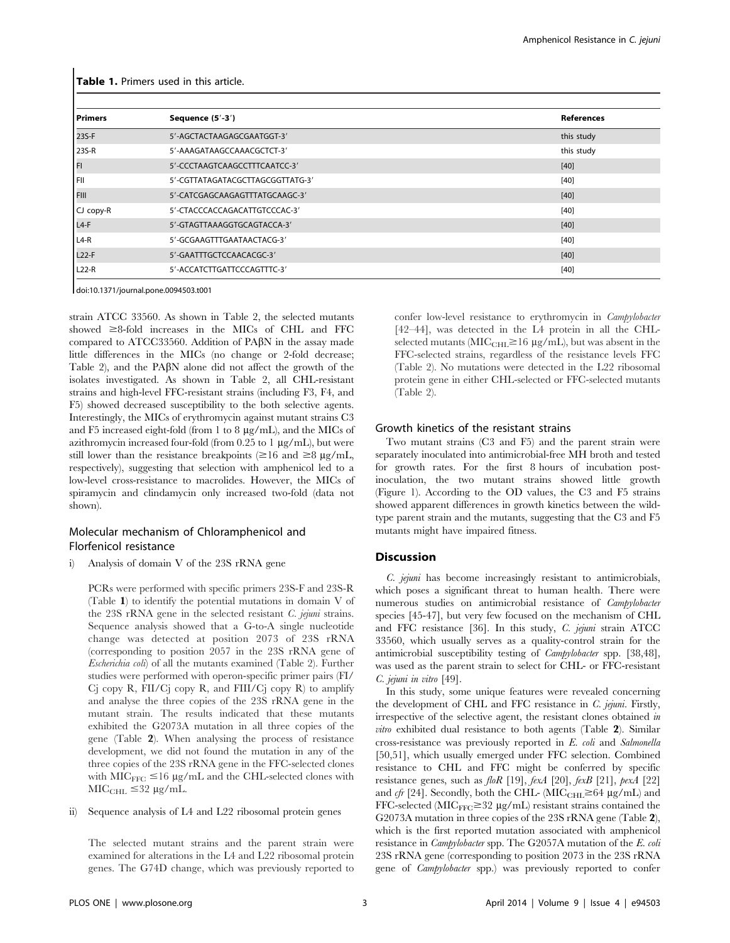| <b>Primers</b>    | Sequence (5'-3')                 | <b>References</b> |
|-------------------|----------------------------------|-------------------|
| 23S-F             | 5'-AGCTACTAAGAGCGAATGGT-3'       | this study        |
| 23S-R             | 5'-AAAGATAAGCCAAACGCTCT-3'       | this study        |
| I FI              | 5'-CCCTAAGTCAAGCCTTTCAATCC-3'    | $[40]$            |
| l Fii             | 5'-CGTTATAGATACGCTTAGCGGTTATG-3' | [40]              |
| <b>FIII</b>       | 5'-CATCGAGCAAGAGTTTATGCAAGC-3'   | $[40]$            |
| CJ copy-R         | 5'-CTACCCACCAGACATTGTCCCAC-3'    | [40]              |
| L <sub>4-F</sub>  | 5'-GTAGTTAAAGGTGCAGTACCA-3'      | [40]              |
| $L4-R$            | 5'-GCGAAGTTTGAATAACTACG-3'       | [40]              |
| L <sub>22-F</sub> | 5'-GAATTTGCTCCAACACGC-3'         | $[40]$            |
| $L22-R$           | 5'-ACCATCTTGATTCCCAGTTTC-3'      | [40]              |

Table 1. Primers used in this article.

doi:10.1371/journal.pone.0094503.t001

strain ATCC 33560. As shown in Table 2, the selected mutants showed  $\geq 8$ -fold increases in the MICs of CHL and FFC compared to ATCC33560. Addition of PABN in the assay made little differences in the MICs (no change or 2-fold decrease; Table 2), and the PABN alone did not affect the growth of the isolates investigated. As shown in Table 2, all CHL-resistant strains and high-level FFC-resistant strains (including F3, F4, and F5) showed decreased susceptibility to the both selective agents. Interestingly, the MICs of erythromycin against mutant strains C3 and F5 increased eight-fold (from 1 to 8  $\mu$ g/mL), and the MICs of azithromycin increased four-fold (from  $0.25$  to 1  $\mu$ g/mL), but were still lower than the resistance breakpoints ( $\geq 16$  and  $\geq 8 \mu$ g/mL, respectively), suggesting that selection with amphenicol led to a low-level cross-resistance to macrolides. However, the MICs of spiramycin and clindamycin only increased two-fold (data not shown).

# Molecular mechanism of Chloramphenicol and Florfenicol resistance

i) Analysis of domain V of the 23S rRNA gene

PCRs were performed with specific primers 23S-F and 23S-R (Table 1) to identify the potential mutations in domain V of the 23S rRNA gene in the selected resistant C. jejuni strains. Sequence analysis showed that a G-to-A single nucleotide change was detected at position 2073 of 23S rRNA (corresponding to position 2057 in the 23S rRNA gene of Escherichia coli) of all the mutants examined (Table 2). Further studies were performed with operon-specific primer pairs (FI/  $C<sub>i</sub>$  copy R, FII/ $C<sub>i</sub>$  copy R, and FIII/ $C<sub>i</sub>$  copy R) to amplify and analyse the three copies of the 23S rRNA gene in the mutant strain. The results indicated that these mutants exhibited the G2073A mutation in all three copies of the gene (Table 2). When analysing the process of resistance development, we did not found the mutation in any of the three copies of the 23S rRNA gene in the FFC-selected clones with  $MIC_{FFC} \leq 16 \mu g/mL$  and the CHL-selected clones with  $MIC<sub>CHL</sub> \leq 32 \mu g/mL$ .

#### ii) Sequence analysis of L4 and L22 ribosomal protein genes

The selected mutant strains and the parent strain were examined for alterations in the L4 and L22 ribosomal protein genes. The G74D change, which was previously reported to

confer low-level resistance to erythromycin in Campylobacter [42–44], was detected in the L4 protein in all the CHLselected mutants ( $\text{MIC}_{\text{CHL}} \ge 16 \ \mu\text{g/mL}$ ), but was absent in the FFC-selected strains, regardless of the resistance levels FFC (Table 2). No mutations were detected in the L22 ribosomal protein gene in either CHL-selected or FFC-selected mutants (Table 2).

#### Growth kinetics of the resistant strains

Two mutant strains (C3 and F5) and the parent strain were separately inoculated into antimicrobial-free MH broth and tested for growth rates. For the first 8 hours of incubation postinoculation, the two mutant strains showed little growth (Figure 1). According to the OD values, the C3 and F5 strains showed apparent differences in growth kinetics between the wildtype parent strain and the mutants, suggesting that the C3 and F5 mutants might have impaired fitness.

# **Discussion**

C. jejuni has become increasingly resistant to antimicrobials, which poses a significant threat to human health. There were numerous studies on antimicrobial resistance of Campylobacter species [45-47], but very few focused on the mechanism of CHL and FFC resistance [36]. In this study, C. jejuni strain ATCC 33560, which usually serves as a quality-control strain for the antimicrobial susceptibility testing of Campylobacter spp. [38,48], was used as the parent strain to select for CHL- or FFC-resistant C. jejuni in vitro [49].

In this study, some unique features were revealed concerning the development of CHL and FFC resistance in C. jejuni. Firstly, irrespective of the selective agent, the resistant clones obtained in vitro exhibited dual resistance to both agents (Table 2). Similar cross-resistance was previously reported in E. coli and Salmonella [50,51], which usually emerged under FFC selection. Combined resistance to CHL and FFC might be conferred by specific resistance genes, such as floR [19], fexA [20], fexB [21], pexA [22] and cfr [24]. Secondly, both the CHL- (MIC<sub>CHL</sub> $\geq$ 64 µg/mL) and FFC-selected ( $\text{MIC}_{\text{FFC}}$   $\geq$  32  $\mu$ g/mL) resistant strains contained the G2073A mutation in three copies of the 23S rRNA gene (Table 2), which is the first reported mutation associated with amphenicol resistance in Campylobacter spp. The G2057A mutation of the E. coli 23S rRNA gene (corresponding to position 2073 in the 23S rRNA gene of Campylobacter spp.) was previously reported to confer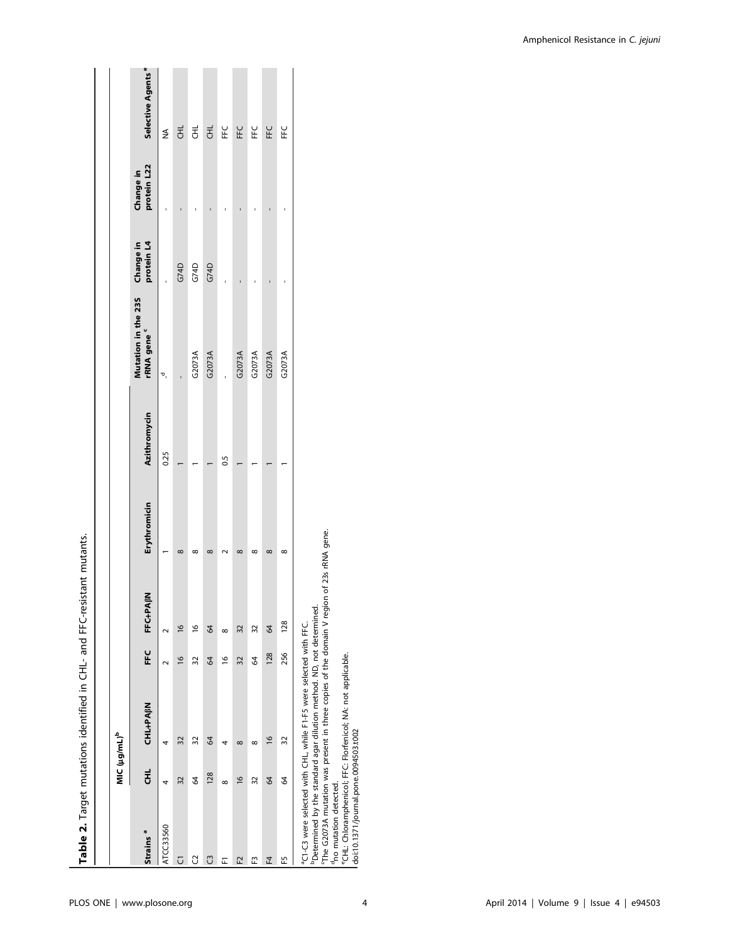|                                                                             |                          | Table 2. Target mutations identified in CHL- and FFC-resistant mutants.                                                                                                                                                                                                                                                   |               |                      |                   |              |                                                                                   |      |                          |                               |
|-----------------------------------------------------------------------------|--------------------------|---------------------------------------------------------------------------------------------------------------------------------------------------------------------------------------------------------------------------------------------------------------------------------------------------------------------------|---------------|----------------------|-------------------|--------------|-----------------------------------------------------------------------------------|------|--------------------------|-------------------------------|
|                                                                             |                          |                                                                                                                                                                                                                                                                                                                           |               |                      |                   |              |                                                                                   |      |                          |                               |
|                                                                             | MIC (µg/mL) <sup>b</sup> |                                                                                                                                                                                                                                                                                                                           |               |                      |                   |              |                                                                                   |      |                          |                               |
| Strains <sup>a</sup>                                                        | 로<br>                    | <b>CHL-PABN</b>                                                                                                                                                                                                                                                                                                           | FEC           | FFC+PA <sub>BN</sub> | Erythromicin      | Azithromycin | Mutation in the 235 Change in<br>rRNA gene <sup>c</sup><br>rRNA gene <sup>c</sup> |      | protein L22<br>Change in | Selective Agents <sup>e</sup> |
| ATCC33560                                                                   | 4                        | 4                                                                                                                                                                                                                                                                                                                         | $\sim$        | $\sim$               |                   | 0.25         | ಕ್ರ                                                                               |      |                          | ≸                             |
| J                                                                           | 32                       | 32                                                                                                                                                                                                                                                                                                                        | $\frac{6}{2}$ | $\frac{8}{2}$        | $\infty$          |              |                                                                                   | G74D |                          | Ŧ                             |
| G                                                                           | 64                       | 32                                                                                                                                                                                                                                                                                                                        | 32            | $\frac{8}{2}$        | $\infty$          |              | G2073A                                                                            | G74D |                          | Ŧ                             |
| ෆී                                                                          | 128                      | 64                                                                                                                                                                                                                                                                                                                        | $\mathcal{Q}$ | 8                    | $\infty$          |              | G2073A                                                                            | G74D |                          | E                             |
| 匠                                                                           | $\infty$                 | 4                                                                                                                                                                                                                                                                                                                         | $\frac{1}{2}$ | $\infty$             |                   | 0.5          |                                                                                   |      |                          | ں<br>H                        |
| F2                                                                          | $\frac{8}{1}$            | $\infty$                                                                                                                                                                                                                                                                                                                  | 32            | 32                   | $\infty$          |              | G2073A                                                                            |      |                          | EEC                           |
| m                                                                           | 32                       | $\infty$                                                                                                                                                                                                                                                                                                                  | Z             | 32                   | $\infty$          |              | G2073A                                                                            |      |                          | し<br>上                        |
| F4                                                                          | 64                       | $\frac{8}{1}$                                                                                                                                                                                                                                                                                                             | 128           | 8                    | $\infty$          |              | G2073A                                                                            |      |                          | EEC                           |
| 51                                                                          | \$4                      | 32                                                                                                                                                                                                                                                                                                                        | 256           | 128                  | $\infty$          |              | G2073A                                                                            |      |                          | し<br>出                        |
| doi:10.1371/journal.pone.0094503.t002<br><sup>d</sup> no mutation detected. |                          | The G2073A mutation was present in three copies of the domain V region<br><sup>b</sup> Determined by the standard agar dilution method. ND, not determined.<br><sup>a</sup> C1-C3 were selected with CHL, while F1-F5 were selected with FFC.<br><sup>e</sup> CHL: Chloramphenicol; FFC: Florfenicol; NA: not applicable. |               |                      | of 23s rRNA gene. |              |                                                                                   |      |                          |                               |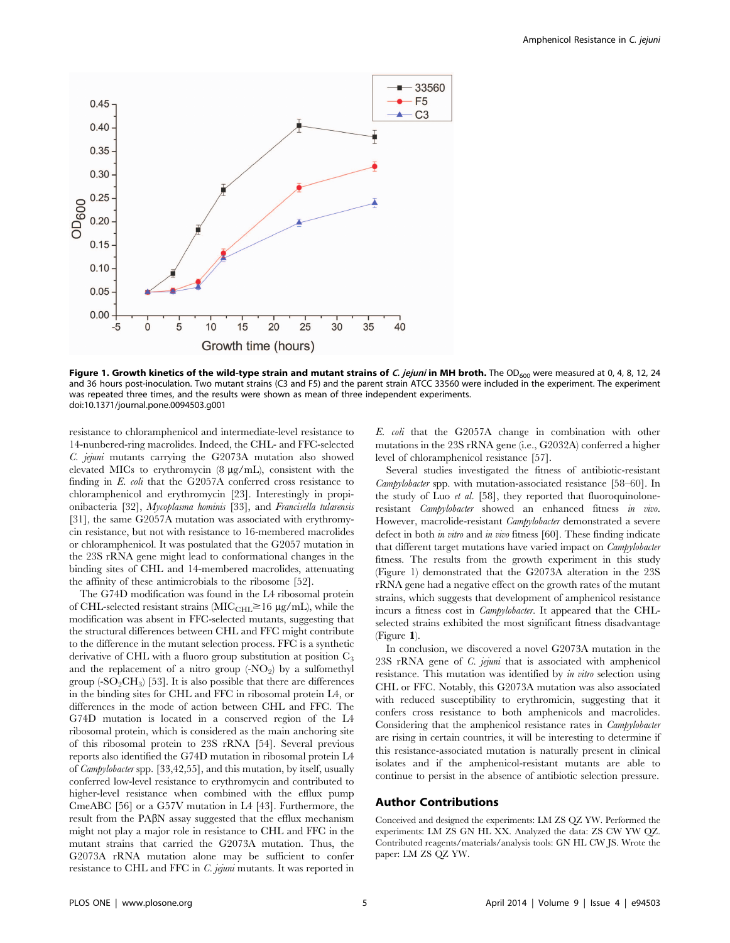

Figure 1. Growth kinetics of the wild-type strain and mutant strains of C. jejuni in MH broth. The OD<sub>600</sub> were measured at 0, 4, 8, 12, 24 and 36 hours post-inoculation. Two mutant strains (C3 and F5) and the parent strain ATCC 33560 were included in the experiment. The experiment was repeated three times, and the results were shown as mean of three independent experiments. doi:10.1371/journal.pone.0094503.g001

resistance to chloramphenicol and intermediate-level resistance to 14-nunbered-ring macrolides. Indeed, the CHL- and FFC-selected C. jejuni mutants carrying the G2073A mutation also showed elevated MICs to erythromycin (8  $\mu$ g/mL), consistent with the finding in E. coli that the G2057A conferred cross resistance to chloramphenicol and erythromycin [23]. Interestingly in propionibacteria [32], Mycoplasma hominis [33], and Francisella tularensis [31], the same G2057A mutation was associated with erythromycin resistance, but not with resistance to 16-membered macrolides or chloramphenicol. It was postulated that the G2057 mutation in the 23S rRNA gene might lead to conformational changes in the binding sites of CHL and 14-membered macrolides, attenuating the affinity of these antimicrobials to the ribosome [52].

The G74D modification was found in the L4 ribosomal protein of CHL-selected resistant strains ( $\text{MIC}_{\text{CHL}} \ge 16 \text{ µg/mL}$ ), while the modification was absent in FFC-selected mutants, suggesting that the structural differences between CHL and FFC might contribute to the difference in the mutant selection process. FFC is a synthetic derivative of CHL with a fluoro group substitution at position  $C_3$ and the replacement of a nitro group  $\langle NO_2 \rangle$  by a sulfomethyl group  $(-SO_2CH_3)$  [53]. It is also possible that there are differences in the binding sites for CHL and FFC in ribosomal protein L4, or differences in the mode of action between CHL and FFC. The G74D mutation is located in a conserved region of the L4 ribosomal protein, which is considered as the main anchoring site of this ribosomal protein to 23S rRNA [54]. Several previous reports also identified the G74D mutation in ribosomal protein L4 of Campylobacter spp. [33,42,55], and this mutation, by itself, usually conferred low-level resistance to erythromycin and contributed to higher-level resistance when combined with the efflux pump CmeABC [56] or a G57V mutation in L4 [43]. Furthermore, the result from the PA $\beta$ N assay suggested that the efflux mechanism might not play a major role in resistance to CHL and FFC in the mutant strains that carried the G2073A mutation. Thus, the G2073A rRNA mutation alone may be sufficient to confer resistance to CHL and FFC in C. jejuni mutants. It was reported in E. coli that the G2057A change in combination with other mutations in the 23S rRNA gene (i.e., G2032A) conferred a higher level of chloramphenicol resistance [57].

Several studies investigated the fitness of antibiotic-resistant Campylobacter spp. with mutation-associated resistance [58–60]. In the study of Luo *et al.* [58], they reported that fluoroquinoloneresistant Campylobacter showed an enhanced fitness in vivo. However, macrolide-resistant *Campylobacter* demonstrated a severe defect in both *in vitro* and *in vivo* fitness [60]. These finding indicate that different target mutations have varied impact on Campylobacter fitness. The results from the growth experiment in this study (Figure 1) demonstrated that the G2073A alteration in the 23S rRNA gene had a negative effect on the growth rates of the mutant strains, which suggests that development of amphenicol resistance incurs a fitness cost in Campylobacter. It appeared that the CHLselected strains exhibited the most significant fitness disadvantage (Figure 1).

In conclusion, we discovered a novel G2073A mutation in the 23S rRNA gene of C. jejuni that is associated with amphenicol resistance. This mutation was identified by in vitro selection using CHL or FFC. Notably, this G2073A mutation was also associated with reduced susceptibility to erythromicin, suggesting that it confers cross resistance to both amphenicols and macrolides. Considering that the amphenicol resistance rates in Campylobacter are rising in certain countries, it will be interesting to determine if this resistance-associated mutation is naturally present in clinical isolates and if the amphenicol-resistant mutants are able to continue to persist in the absence of antibiotic selection pressure.

# Author Contributions

Conceived and designed the experiments: LM ZS QZ YW. Performed the experiments: LM ZS GN HL XX. Analyzed the data: ZS CW YW QZ. Contributed reagents/materials/analysis tools: GN HL CW JS. Wrote the paper: LM ZS QZ YW.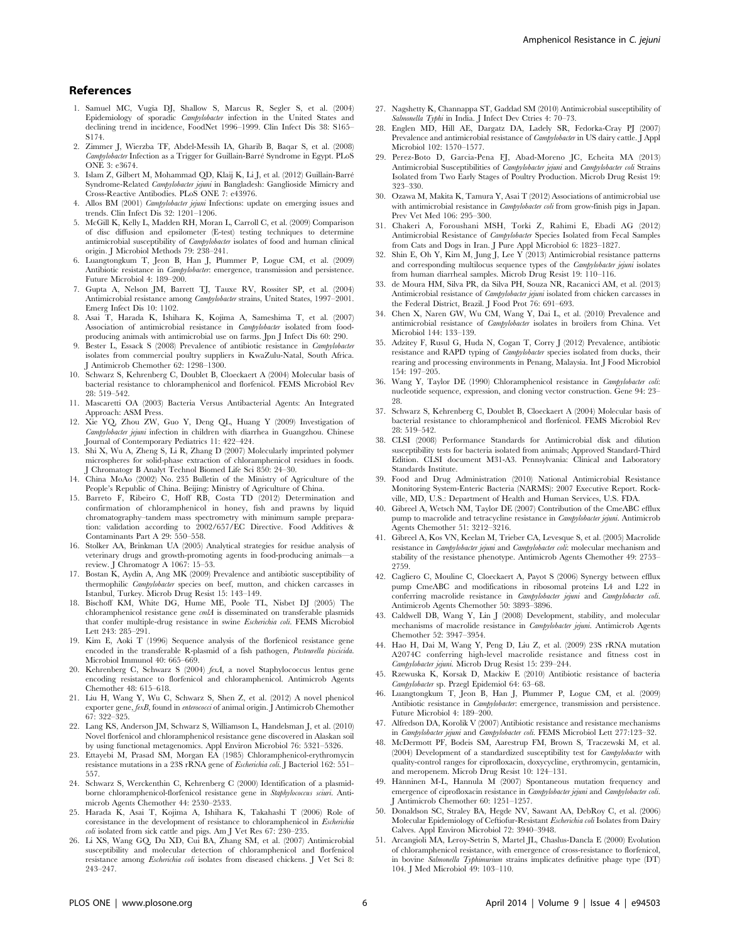#### References

- 1. Samuel MC, Vugia DJ, Shallow S, Marcus R, Segler S, et al. (2004) Epidemiology of sporadic Campylobacter infection in the United States and declining trend in incidence, FoodNet 1996–1999. Clin Infect Dis 38: S165– S174.
- 2. Zimmer J, Wierzba TF, Abdel-Messih IA, Gharib B, Baqar S, et al. (2008) Campylobacter Infection as a Trigger for Guillain-Barré Syndrome in Egypt. PLoS ONE 3: e3674.
- 3. Islam Z, Gilbert M, Mohammad QD, Klaij K, Li J, et al. (2012) Guillain-Barre´ Syndrome-Related Campylobacter jejuni in Bangladesh: Ganglioside Mimicry and Cross-Reactive Antibodies. PLoS ONE 7: e43976.
- 4. Allos BM (2001) Campylobacter jejuni Infections: update on emerging issues and trends. Clin Infect Dis 32: 1201–1206.
- 5. McGill K, Kelly L, Madden RH, Moran L, Carroll C, et al. (2009) Comparison of disc diffusion and epsilometer (E-test) testing techniques to determine antimicrobial susceptibility of Campylobacter isolates of food and human clinical origin. J Microbiol Methods 79: 238–241.
- 6. Luangtongkum T, Jeon B, Han J, Plummer P, Logue CM, et al. (2009) Antibiotic resistance in *Campylobacter*: emergence, transmission and persistence. Future Microbiol 4: 189–200.
- 7. Gupta A, Nelson JM, Barrett TJ, Tauxe RV, Rossiter SP, et al. (2004) Antimicrobial resistance among Campylobacter strains, United States, 1997–2001. Emerg Infect Dis 10: 1102.
- 8. Asai T, Harada K, Ishihara K, Kojima A, Sameshima T, et al. (2007) Association of antimicrobial resistance in Campylobacter isolated from foodproducing animals with antimicrobial use on farms. Jpn J Infect Dis 60: 290.
- 9. Bester L, Essack S (2008) Prevalence of antibiotic resistance in Campylobacter isolates from commercial poultry suppliers in KwaZulu-Natal, South Africa. J Antimicrob Chemother 62: 1298–1300.
- 10. Schwarz S, Kehrenberg C, Doublet B, Cloeckaert A (2004) Molecular basis of bacterial resistance to chloramphenicol and florfenicol. FEMS Microbiol Rev 28: 519–542.
- 11. Mascaretti OA (2003) Bacteria Versus Antibacterial Agents: An Integrated Approach: ASM Press.
- 12. Xie YQ, Zhou ZW, Guo Y, Deng QL, Huang Y (2009) Investigation of Campylobacter jejuni infection in children with diarrhea in Guangzhou. Chinese Journal of Contemporary Pediatrics 11: 422–424.
- 13. Shi X, Wu A, Zheng S, Li R, Zhang D (2007) Molecularly imprinted polymer microspheres for solid-phase extraction of chloramphenicol residues in foods. J Chromatogr B Analyt Technol Biomed Life Sci 850: 24–30.
- 14. China MoAo (2002) No. 235 Bulletin of the Ministry of Agriculture of the People's Republic of China. Beijing: Ministry of Agriculture of China.
- 15. Barreto F, Ribeiro C, Hoff RB, Costa TD (2012) Determination and confirmation of chloramphenicol in honey, fish and prawns by liquid chromatography–tandem mass spectrometry with minimum sample prepara-tion: validation according to 2002/657/EC Directive. Food Additives & Contaminants Part A 29: 550–558.
- 16. Stolker AA, Brinkman UA (2005) Analytical strategies for residue analysis of veterinary drugs and growth-promoting agents in food-producing animals—a review. J Chromatogr A 1067: 15–53.
- 17. Bostan K, Aydin A, Ang MK (2009) Prevalence and antibiotic susceptibility of thermophilic Campylobacter species on beef, mutton, and chicken carcasses in Istanbul, Turkey. Microb Drug Resist 15: 143–149.
- 18. Bischoff KM, White DG, Hume ME, Poole TL, Nisbet DJ (2005) The chloramphenicol resistance gene cmlA is disseminated on transferable plasmids that confer multiple-drug resistance in swine Escherichia coli. FEMS Microbiol Lett 243: 285–291.
- 19. Kim E, Aoki T (1996) Sequence analysis of the florfenicol resistance gene encoded in the transferable R-plasmid of a fish pathogen, Pasteurella piscicida. Microbiol Immunol 40: 665–669.
- 20. Kehrenberg C, Schwarz S (2004) fexA, a novel Staphylococcus lentus gene encoding resistance to florfenicol and chloramphenicol. Antimicrob Agents Chemother 48: 615–618.
- 21. Liu H, Wang Y, Wu C, Schwarz S, Shen Z, et al. (2012) A novel phenicol exporter gene, fexB, found in enterococci of animal origin. J Antimicrob Chemother 67: 322–325.
- 22. Lang KS, Anderson JM, Schwarz S, Williamson L, Handelsman J, et al. (2010) Novel florfenicol and chloramphenicol resistance gene discovered in Alaskan soil by using functional metagenomics. Appl Environ Microbiol 76: 5321–5326.
- 23. Ettayebi M, Prasad SM, Morgan EA (1985) Chloramphenicol-erythromycin resistance mutations in a 23S rRNA gene of *Escherichia coli*. J Bacteriol 162: 551– 557.
- 24. Schwarz S, Werckenthin C, Kehrenberg C (2000) Identification of a plasmidborne chloramphenicol-florfenicol resistance gene in Staphylococcus sciuri. Antimicrob Agents Chemother 44: 2530–2533.
- 25. Harada K, Asai T, Kojima A, Ishihara K, Takahashi T (2006) Role of coresistance in the development of resistance to chloramphenicol in Escherichia coli isolated from sick cattle and pigs. Am J Vet Res 67: 230-235.
- 26. Li XS, Wang GQ, Du XD, Cui BA, Zhang SM, et al. (2007) Antimicrobial susceptibility and molecular detection of chloramphenicol and florfenicol resistance among Escherichia coli isolates from diseased chickens. J Vet Sci 8: 243–247.
- 27. Nagshetty K, Channappa ST, Gaddad SM (2010) Antimicrobial susceptibility of Salmonella Typhi in India. J Infect Dev Ctries 4: 70–73.
- 28. Englen MD, Hill AE, Dargatz DA, Ladely SR, Fedorka-Cray PJ (2007) Prevalence and antimicrobial resistance of Campylobacter in US dairy cattle. J Appl Microbiol 102: 1570–1577.
- 29. Perez-Boto D, Garcia-Pena FJ, Abad-Moreno JC, Echeita MA (2013) Antimicrobial Susceptibilities of *Campylobacter jejuni* and *Campylobacter coli* Strains Isolated from Two Early Stages of Poultry Production. Microb Drug Resist 19: 323–330.
- 30. Ozawa M, Makita K, Tamura Y, Asai T (2012) Associations of antimicrobial use with antimicrobial resistance in *Campylobacter coli* from grow-finish pigs in Japan. Prev Vet Med 106: 295–300.
- 31. Chakeri A, Foroushani MSH, Torki Z, Rahimi E, Ebadi AG (2012) Antimicrobial Resistance of Campylobacter Species Isolated from Fecal Samples from Cats and Dogs in Iran. J Pure Appl Microbiol 6: 1823–1827.
- 32. Shin E, Oh Y, Kim M, Jung J, Lee Y (2013) Antimicrobial resistance patterns and corresponding multilocus sequence types of the Campylobacter jejuni isolates from human diarrheal samples. Microb Drug Resist 19: 110–116.
- 33. de Moura HM, Silva PR, da Silva PH, Souza NR, Racanicci AM, et al. (2013) Antimicrobial resistance of *Campylobacter jejuni* isolated from chicken carcasses in the Federal District, Brazil. J Food Prot 76: 691–693.
- 34. Chen X, Naren GW, Wu CM, Wang Y, Dai L, et al. (2010) Prevalence and antimicrobial resistance of Campylobacter isolates in broilers from China. Vet Microbiol 144: 133–139.
- 35. Adzitey F, Rusul G, Huda N, Cogan T, Corry J (2012) Prevalence, antibiotic resistance and RAPD typing of Campylobacter species isolated from ducks, their rearing and processing environments in Penang, Malaysia. Int J Food Microbiol 154: 197–205.
- 36. Wang Y, Taylor DE (1990) Chloramphenicol resistance in Campylobacter coli: nucleotide sequence, expression, and cloning vector construction. Gene 94: 23– 28.
- 37. Schwarz S, Kehrenberg C, Doublet B, Cloeckaert A (2004) Molecular basis of bacterial resistance to chloramphenicol and florfenicol. FEMS Microbiol Rev 28: 519–542.
- 38. CLSI (2008) Performance Standards for Antimicrobial disk and dilution susceptibility tests for bacteria isolated from animals; Approved Standard-Third Edition. CLSI document M31-A3. Pennsylvania: Clinical and Laboratory Standards Institute.
- 39. Food and Drug Administration (2010) National Antimicrobial Resistance Monitoring System-Enteric Bacteria (NARMS): 2007 Executive Report. Rockville, MD, U.S.: Department of Health and Human Services, U.S. FDA.
- 40. Gibreel A, Wetsch NM, Taylor DE (2007) Contribution of the CmeABC efflux pump to macrolide and tetracycline resistance in Campylobacter jejuni. Antimicrob Agents Chemother 51: 3212–3216.
- 41. Gibreel A, Kos VN, Keelan M, Trieber CA, Levesque S, et al. (2005) Macrolide resistance in Campylobacter jejuni and Campylobacter coli: molecular mechanism and stability of the resistance phenotype. Antimicrob Agents Chemother 49: 2753– 2759.
- 42. Cagliero C, Mouline C, Cloeckaert A, Payot S (2006) Synergy between efflux pump CmeABC and modifications in ribosomal proteins L4 and L22 in conferring macrolide resistance in *Campylobacter jejuni* and *Campylobacter coli*. Antimicrob Agents Chemother 50: 3893–3896.
- 43. Caldwell DB, Wang Y, Lin J (2008) Development, stability, and molecular mechanisms of macrolide resistance in Campylobacter jejuni. Antimicrob Agents Chemother 52: 3947–3954.
- 44. Hao H, Dai M, Wang Y, Peng D, Liu Z, et al. (2009) 23S rRNA mutation A2074C conferring high-level macrolide resistance and fitness cost in Campylobacter jejuni. Microb Drug Resist 15: 239–244.
- 45. Rzewuska K, Korsak D, Mackiw E (2010) Antibiotic resistance of bacteria Campylobacter sp. Przegl Epidemiol 64: 63–68.
- 46. Luangtongkum T, Jeon B, Han J, Plummer P, Logue CM, et al. (2009) Antibiotic resistance in Campylobacter: emergence, transmission and persistence. Future Microbiol 4: 189–200.
- 47. Alfredson DA, Korolik V (2007) Antibiotic resistance and resistance mechanisms in Campylobacter jejuni and Campylobacter coli. FEMS Microbiol Lett 277:123–32.
- 48. McDermott PF, Bodeis SM, Aarestrup FM, Brown S, Traczewski M, et al. (2004) Development of a standardized susceptibility test for *Campylobacter* with quality-control ranges for ciprofloxacin, doxycycline, erythromycin, gentamicin, and meropenem. Microb Drug Resist 10: 124–131.
- 49. Hänninen M-L, Hannula M (2007) Spontaneous mutation frequency and emergence of ciprofloxacin resistance in Campylobacter jejuni and Campylobacter coli. J Antimicrob Chemother 60: 1251–1257.
- 50. Donaldson SC, Straley BA, Hegde NV, Sawant AA, DebRoy C, et al. (2006) Molecular Epidemiology of Ceftiofur-Resistant Escherichia coli Isolates from Dairy Calves. Appl Environ Microbiol 72: 3940–3948.
- 51. Arcangioli MA, Leroy-Setrin S, Martel JL, Chaslus-Dancla E (2000) Evolution of chloramphenicol resistance, with emergence of cross-resistance to florfenicol, in bovine Salmonella Typhimurium strains implicates definitive phage type (DT) 104. J Med Microbiol 49: 103–110.